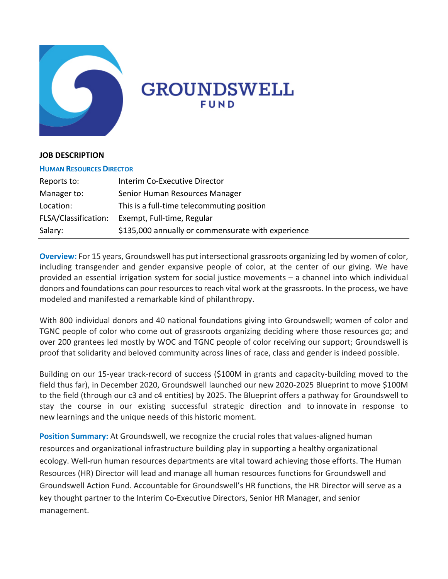

# **GROUNDSWELL** FUND

#### **JOB DESCRIPTION**

| <b>HUMAN RESOURCES DIRECTOR</b> |                                                    |
|---------------------------------|----------------------------------------------------|
| Reports to:                     | Interim Co-Executive Director                      |
| Manager to:                     | Senior Human Resources Manager                     |
| Location:                       | This is a full-time telecommuting position         |
| FLSA/Classification:            | Exempt, Full-time, Regular                         |
| Salary:                         | \$135,000 annually or commensurate with experience |

**Overview:** For 15 years, Groundswell has put intersectional grassroots organizing led by women of color, including transgender and gender expansive people of color, at the center of our giving. We have provided an essential irrigation system for social justice movements – a channel into which individual donors and foundations can pour resources to reach vital work at the grassroots. In the process, we have modeled and manifested a remarkable kind of philanthropy.

With 800 individual donors and 40 national foundations giving into Groundswell; women of color and TGNC people of color who come out of grassroots organizing deciding where those resources go; and over 200 grantees led mostly by WOC and TGNC people of color receiving our support; Groundswell is proof that solidarity and beloved community across lines of race, class and gender is indeed possible.

Building on our 15-year track-record of success (\$100M in grants and capacity-building moved to the field thus far), in December 2020, Groundswell launched our new 2020-2025 Blueprint to move \$100M to the field (through our c3 and c4 entities) by 2025. The Blueprint offers a pathway for Groundswell to stay the course in our existing successful strategic direction and to innovate in response to new learnings and the unique needs of this historic moment.

**Position Summary:** At Groundswell, we recognize the crucial roles that values-aligned human resources and organizational infrastructure building play in supporting a healthy organizational ecology. Well-run human resources departments are vital toward achieving those efforts. The Human Resources (HR) Director will lead and manage all human resources functions for Groundswell and Groundswell Action Fund. Accountable for Groundswell's HR functions, the HR Director will serve as a key thought partner to the Interim Co-Executive Directors, Senior HR Manager, and senior management.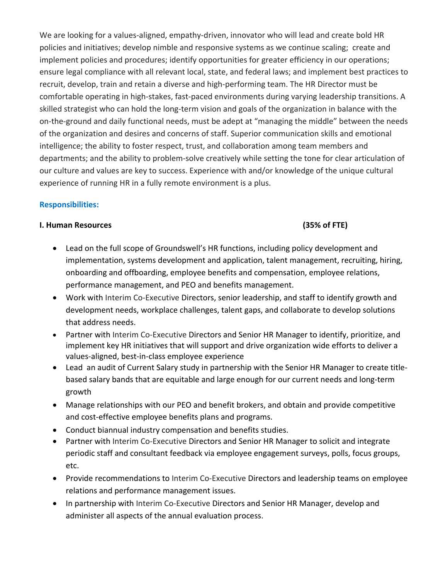We are looking for a values-aligned, empathy-driven, innovator who will lead and create bold HR policies and initiatives; develop nimble and responsive systems as we continue scaling; create and implement policies and procedures; identify opportunities for greater efficiency in our operations; ensure legal compliance with all relevant local, state, and federal laws; and implement best practices to recruit, develop, train and retain a diverse and high-performing team. The HR Director must be comfortable operating in high-stakes, fast-paced environments during varying leadership transitions. A skilled strategist who can hold the long-term vision and goals of the organization in balance with the on-the-ground and daily functional needs, must be adept at "managing the middle" between the needs of the organization and desires and concerns of staff. Superior communication skills and emotional intelligence; the ability to foster respect, trust, and collaboration among team members and departments; and the ability to problem-solve creatively while setting the tone for clear articulation of our culture and values are key to success. Experience with and/or knowledge of the unique cultural experience of running HR in a fully remote environment is a plus.

## **Responsibilities:**

#### **I. Human Resources (35% of FTE)**

- Lead on the full scope of Groundswell's HR functions, including policy development and implementation, systems development and application, talent management, recruiting, hiring, onboarding and offboarding, employee benefits and compensation, employee relations, performance management, and PEO and benefits management.
- Work with Interim Co-Executive Directors, senior leadership, and staff to identify growth and development needs, workplace challenges, talent gaps, and collaborate to develop solutions that address needs.
- Partner with Interim Co-Executive Directors and Senior HR Manager to identify, prioritize, and implement key HR initiatives that will support and drive organization wide efforts to deliver a values-aligned, best-in-class employee experience
- Lead an audit of Current Salary study in partnership with the Senior HR Manager to create titlebased salary bands that are equitable and large enough for our current needs and long-term growth
- Manage relationships with our PEO and benefit brokers, and obtain and provide competitive and cost-effective employee benefits plans and programs.
- Conduct biannual industry compensation and benefits studies.
- Partner with Interim Co-Executive Directors and Senior HR Manager to solicit and integrate periodic staff and consultant feedback via employee engagement surveys, polls, focus groups, etc.
- Provide recommendations to Interim Co-Executive Directors and leadership teams on employee relations and performance management issues.
- In partnership with Interim Co-Executive Directors and Senior HR Manager, develop and administer all aspects of the annual evaluation process.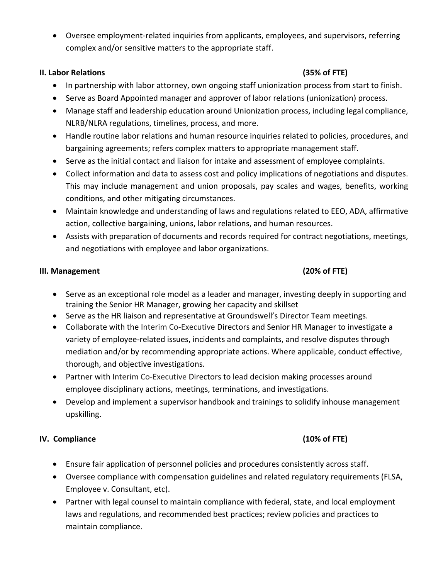• Oversee employment-related inquiries from applicants, employees, and supervisors, referring complex and/or sensitive matters to the appropriate staff.

#### **II. Labor Relations (35% of FTE)**

- In partnership with labor attorney, own ongoing staff unionization process from start to finish.
- Serve as Board Appointed manager and approver of labor relations (unionization) process.
- Manage staff and leadership education around Unionization process, including legal compliance, NLRB/NLRA regulations, timelines, process, and more.
- Handle routine labor relations and human resource inquiries related to policies, procedures, and bargaining agreements; refers complex matters to appropriate management staff.
- Serve as the initial contact and liaison for intake and assessment of employee complaints.
- Collect information and data to assess cost and policy implications of negotiations and disputes. This may include management and union proposals, pay scales and wages, benefits, working conditions, and other mitigating circumstances.
- Maintain knowledge and understanding of laws and regulations related to EEO, ADA, affirmative action, collective bargaining, unions, labor relations, and human resources.
- Assists with preparation of documents and records required for contract negotiations, meetings, and negotiations with employee and labor organizations.

## **III. Management (20% of FTE)**

# • Serve as an exceptional role model as a leader and manager, investing deeply in supporting and training the Senior HR Manager, growing her capacity and skillset

- Serve as the HR liaison and representative at Groundswell's Director Team meetings.
- Collaborate with the Interim Co-Executive Directors and Senior HR Manager to investigate a variety of employee-related issues, incidents and complaints, and resolve disputes through mediation and/or by recommending appropriate actions. Where applicable, conduct effective, thorough, and objective investigations.
- Partner with Interim Co-Executive Directors to lead decision making processes around employee disciplinary actions, meetings, terminations, and investigations.
- Develop and implement a supervisor handbook and trainings to solidify inhouse management upskilling.

## **IV. Compliance (10% of FTE)**

- Ensure fair application of personnel policies and procedures consistently across staff.
- Oversee compliance with compensation guidelines and related regulatory requirements (FLSA, Employee v. Consultant, etc).
- Partner with legal counsel to maintain compliance with federal, state, and local employment laws and regulations, and recommended best practices; review policies and practices to maintain compliance.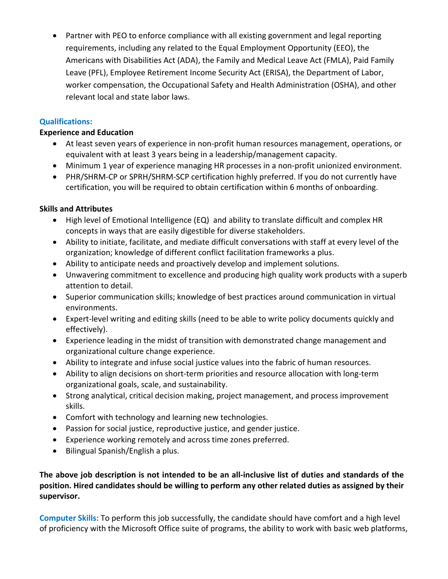• Partner with PEO to enforce compliance with all existing government and legal reporting requirements, including any related to the Equal Employment Opportunity (EEO), the Americans with Disabilities Act (ADA), the Family and Medical Leave Act (FMLA), Paid Family Leave (PFL), Employee Retirement Income Security Act (ERISA), the Department of Labor, worker compensation, the Occupational Safety and Health Administration (OSHA), and other relevant local and state labor laws.

## **Qualifications:**

#### **Experience and Education**

- At least seven years of experience in non-profit human resources management, operations, or equivalent with at least 3 years being in a leadership/management capacity.
- Minimum 1 year of experience managing HR processes in a non-profit unionized environment.
- PHR/SHRM-CP or SPRH/SHRM-SCP certification highly preferred. If you do not currently have certification, you will be required to obtain certification within 6 months of onboarding.

## **Skills and Attributes**

- High level of Emotional Intelligence (EQ) and ability to translate difficult and complex HR concepts in ways that are easily digestible for diverse stakeholders.
- Ability to initiate, facilitate, and mediate difficult conversations with staff at every level of the organization; knowledge of different conflict facilitation frameworks a plus.
- Ability to anticipate needs and proactively develop and implement solutions.
- Unwavering commitment to excellence and producing high quality work products with a superb attention to detail.
- Superior communication skills; knowledge of best practices around communication in virtual environments.
- Expert-level writing and editing skills (need to be able to write policy documents quickly and effectively).
- Experience leading in the midst of transition with demonstrated change management and organizational culture change experience.
- Ability to integrate and infuse social justice values into the fabric of human resources.
- Ability to align decisions on short-term priorities and resource allocation with long-term organizational goals, scale, and sustainability.
- Strong analytical, critical decision making, project management, and process improvement skills.
- Comfort with technology and learning new technologies.
- Passion for social justice, reproductive justice, and gender justice.
- Experience working remotely and across time zones preferred.
- Bilingual Spanish/English a plus.

**The above job description is not intended to be an all-inclusive list of duties and standards of the position. Hired candidates should be willing to perform any other related duties as assigned by their supervisor.**

**Computer Skills:** To perform this job successfully, the candidate should have comfort and a high level of proficiency with the Microsoft Office suite of programs, the ability to work with basic web platforms,